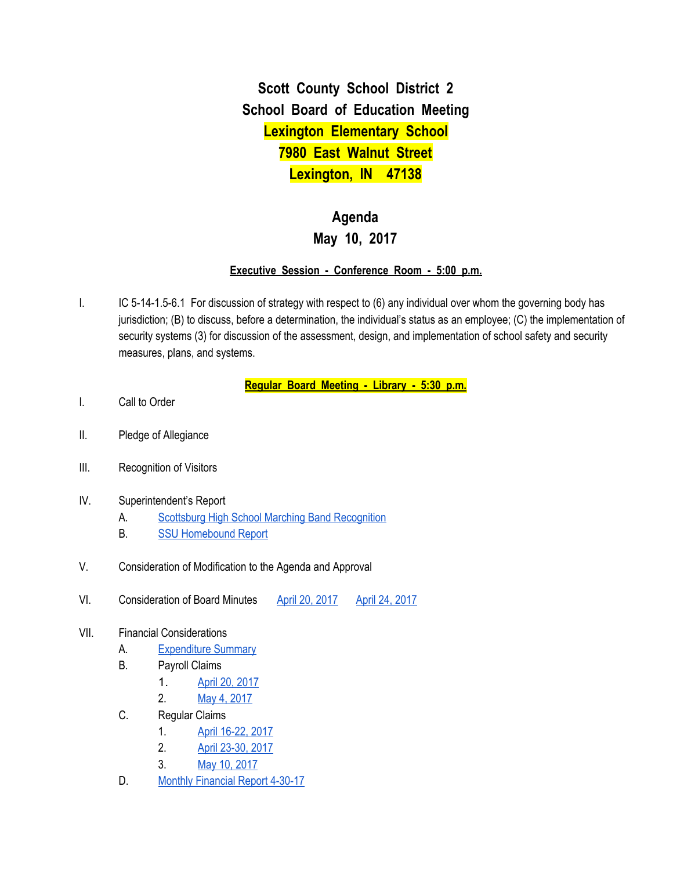**Scott County School District 2 School Board of Education Meeting Lexington Elementary School 7980 East Walnut Street Lexington, IN 47138**

## **Agenda May 10, 2017**

## **Executive Session - Conference Room - 5:00 p.m.**

I. IC 5-14-1.5-6.1 For discussion of strategy with respect to (6) any individual over whom the governing body has jurisdiction; (B) to discuss, before a determination, the individual's status as an employee; (C) the implementation of security systems (3) for discussion of the assessment, design, and implementation of school safety and security measures, plans, and systems.

**Regular Board Meeting - Library - 5:30 p.m.**

- I. Call to Order
- II. Pledge of Allegiance
- III. Recognition of Visitors
- IV. Superintendent's Report
	- A. Scottsburg High School Marching Band [Recognition](https://drive.google.com/file/d/0BxXvxnGh3EX1Nm9xQmpxakFZYVVFNlZ5WmhNVmxGNDZLdFNj/view)
	- B. SSU [Homebound](https://docs.google.com/spreadsheets/d/1VheqtRj2pRzzsOXHZmV1XJ-BT_9t20zL9jNSYn-DTRc/edit#gid=0) Report
- V. Consideration of Modification to the Agenda and Approval
- VI. Consideration of Board Minutes April 20, [2017](https://docs.google.com/document/d/1vFonehOxkpbqIyIN2HWD9kM0xnnuFfXaUYAC3CRbMU4/edit) April 24, [2017](https://docs.google.com/document/d/1Mbg6dp_oOWfzQcDLTQDBf9hprypUlzRwr8qXw3cQhWE/edit)
- VII. Financial Considerations
	- A. [Expenditure](https://drive.google.com/file/d/0BxXvxnGh3EX1LWxGS242bkxNdzNsejY4MmZLX3UzVEllanFz/view) Summary
	- B. Payroll Claims
		- 1. April 20, [2017](https://drive.google.com/file/d/0BxXvxnGh3EX1RVR5dGpFenAwUlZmc3VpQ1MzRXJ0S0tRTVV3/view)
		- 2. May 4, [2017](https://drive.google.com/file/d/0BxXvxnGh3EX1bXhjMkhvWE5fbjM5eTN2cS05Y2lCZHF3Z0I0/view)
	- C. Regular Claims
		- 1. April [16-22,](https://drive.google.com/file/d/0BxXvxnGh3EX1WHJrWXNFQTd4MWRmVXpCZGlyNXVEbWFtbndr/view) 2017
		- 2. April [23-30,](https://drive.google.com/file/d/0BxXvxnGh3EX1LXQwZ19vUktMWEs2Y09sRGNnQXVYYTBDMndr/view) 2017
		- 3. May 10, [2017](https://drive.google.com/file/d/0BxXvxnGh3EX1RWk0NHVFZDJTZUtiXy1Id190NnA1dFVobFFN/view)
	- D. Monthly [Financial](https://drive.google.com/file/d/0BxXvxnGh3EX1UE9Cb283emh5WnBxM0QyY1ZZVFVqRklTWkxr/view) Report 4-30-17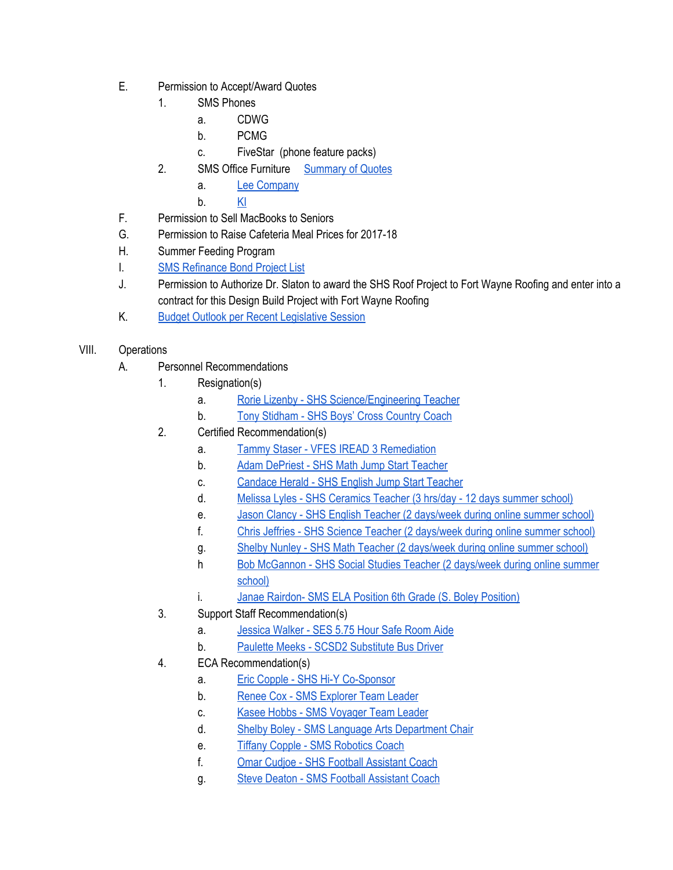- E. Permission to Accept/Award Quotes
	- 1. SMS Phones
		- a. CDWG
		- b. PCMG
		- c. FiveStar (phone feature packs)
	- 2. SMS Office Furniture [Summary](https://drive.google.com/file/d/0BxXvxnGh3EX1MUxMZkFIWERqUVBrR1hHa0hFZlVrX25vd2JN/view) of Quotes
		- a. Lee [Company](https://drive.google.com/file/d/0BxXvxnGh3EX1Y1dzS3Z3eTFOaTF2Wm1nYUlBMF91MDRyczFv/view)
		- b. [KI](https://drive.google.com/file/d/0BxXvxnGh3EX1dXdNNGZXSjh5dTVFMllNN2h4eGRoWlBJS1Bz/view)
- F. Permission to Sell MacBooks to Seniors
- G. Permission to Raise Cafeteria Meal Prices for 2017-18
- H. Summer Feeding Program
- I. SMS [Refinance](https://docs.google.com/a/scsd2.k12.in.us/spreadsheets/d/1pWH3rbchcrrGXVxMMEs2ujL9rvqQGHh7KjK2C-ZYbQQ/edit?usp=sharing) Bond Project List
- J. Permission to Authorize Dr. Slaton to award the SHS Roof Project to Fort Wayne Roofing and enter into a contract for this Design Build Project with Fort Wayne Roofing
- K. Budget Outlook per Recent [Legislative](https://drive.google.com/file/d/0BxXvxnGh3EX1bXE0c05KclVaV2cwQ2pmX3dId3RzWkR6UWFR/view) Session
- VIII. Operations
	- A. Personnel Recommendations
		- 1. Resignation(s)
			- a. Rorie Lizenby SHS [Science/Engineering](https://drive.google.com/file/d/0BxXvxnGh3EX1QzdMaEpHZ1p5aDV1NkpaRkp1ZTJqV29BMk9n/view) Teacher
			- b. Tony [Stidham](https://drive.google.com/file/d/0BxXvxnGh3EX1Zi1tbEdsZ0pWc3BoVm5NTjUzQ3dTSHVGZVRv/view) SHS Boys' Cross Country Coach
		- 2. Certified Recommendation(s)
			- a. Tammy Staser VFES IREAD 3 [Remediation](https://drive.google.com/file/d/0BxXvxnGh3EX1cUFwMFREOXRpTGhGSFlpSHdZdFJGd3dXWXlR/view)
			- b. Adam [DePriest](https://drive.google.com/file/d/0BxXvxnGh3EX1OUR1cnViRTNlX191YndCWEpzZFpVZ1FYSm5V/view) SHS Math Jump Start Teacher
			- c. [Candace](https://drive.google.com/file/d/0BxXvxnGh3EX1VjVTSkFPTFc1VlpxQk1ZWS1Ta2hzZXhzQ2hV/view) Herald SHS English Jump Start Teacher
			- d. Melissa Lyles SHS [Ceramics](https://drive.google.com/file/d/0BxXvxnGh3EX1Z0dqdGMwaEx1RG5MNWNuc0phVUZKSzBsMHBJ/view) Teacher (3 hrs/day 12 days summer school)
			- e. Jason Clancy SHS English Teacher (2 [days/week](https://drive.google.com/file/d/0BxXvxnGh3EX1VmJXa0JrRS02MVd5YlNWak5Kd2hSR1BZQTJz/view) during online summer school)
			- f. Chris Jeffries SHS Science Teacher (2 [days/week](https://drive.google.com/file/d/0BxXvxnGh3EX1NFlubV90XzZTaElvekdwQmY3aG5nQ0lQdUxz/view) during online summer school)
			- g. Shelby Nunley SHS Math Teacher (2 [days/week](https://drive.google.com/file/d/0BxXvxnGh3EX1MzJMRTFta2w3c2VLMWp2dm9lRkkwWlpMR1pz/view) during online summer school)
			- h Bob [McGannon](https://drive.google.com/file/d/0BxXvxnGh3EX1aFozRUJuUV9LcjNsc0JyRmp3c3Y1VTMxbWZz/view) SHS Social Studies Teacher (2 days/week during online summer [school\)](https://drive.google.com/file/d/0BxXvxnGh3EX1aFozRUJuUV9LcjNsc0JyRmp3c3Y1VTMxbWZz/view)
			- i. Janae Rairdon- SMS ELA Position 6th Grade (S. Boley [Position\)](https://drive.google.com/file/d/0BxXvxnGh3EX1TE9PQnB2S1JwM0lFUGZwSDJmb3cwUEZIdWNF/view)
		- 3. Support Staff Recommendation(s)
			- a. [Jessica](https://drive.google.com/file/d/0BxXvxnGh3EX1NHF6Qng4ejY5WUxfOE95OC1rM1BPSlo0U2hN/view) Walker SES 5.75 Hour Safe Room Aide
			- b. Paulette Meeks SCSD2 [Substitute](https://drive.google.com/file/d/0BxXvxnGh3EX1ZnN1TkEtR3lBWktZaHF6MWxqSWd6Tl9VbjRr/view) Bus Driver
		- 4. ECA Recommendation(s)
			- a. Eric Copple SHS Hi-Y [Co-Sponsor](https://drive.google.com/file/d/0BxXvxnGh3EX1czNwYVIwUUdoR2JXMUxydk5EUFYza3RsRExJ/view)
			- b. Renee Cox SMS [Explorer](https://drive.google.com/file/d/0BxXvxnGh3EX1bzhuOUJHZlFHRUZyS29TRkJFN3EwZWE1cFNN/view) Team Leader
			- c. Kasee Hobbs SMS [Voyager](https://drive.google.com/file/d/0BxXvxnGh3EX1TkNBOS1DT1dEN21XT0hpM1doa09MZm9yRlAw/view) Team Leader
			- d. Shelby Boley SMS Language Arts [Department](https://drive.google.com/file/d/0BxXvxnGh3EX1X3ZwM212c25jdDRPWEhGamlzVk9oZlRidnZ3/view) Chair
			- e. Tiffany Copple SMS [Robotics](https://drive.google.com/file/d/0BxXvxnGh3EX1bXVMeE1UcVhzN3R6am5qQ3JOMHh0eW9rdm1B/view) Coach
			- f. Omar Cudjoe SHS Football [Assistant](https://drive.google.com/file/d/0BxXvxnGh3EX1aWNCcl9TeWpoSVI0MzdpWVJ1OUtkVGVFWm5j/view) Coach
			- g. Steve Deaton SMS Football [Assistant](https://drive.google.com/file/d/0BxXvxnGh3EX1SDlPZnlJMW0tVGdZZ0cwS0NnVGtIMUFTZ2s0/view) Coach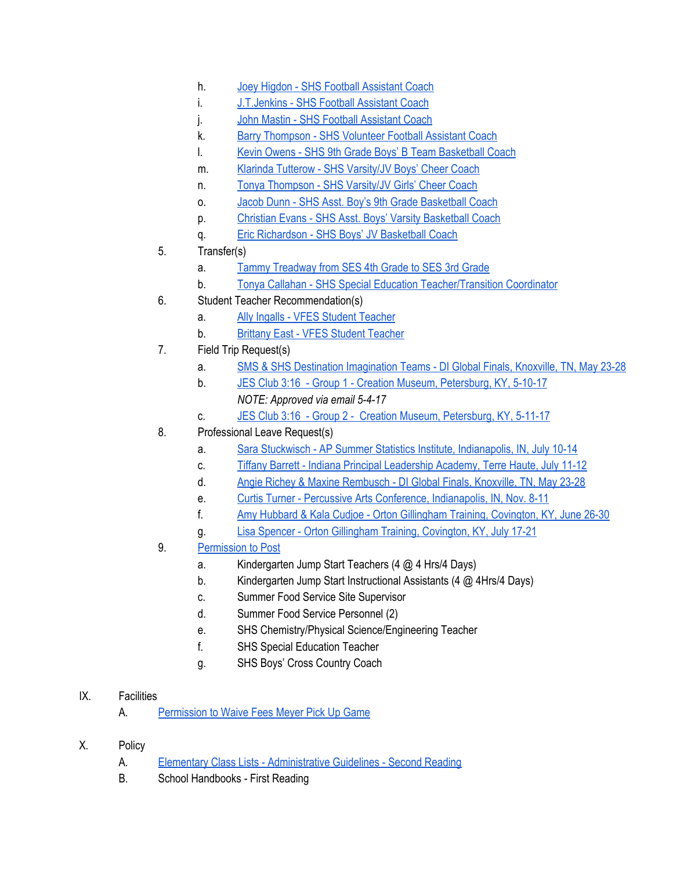- h. Joey Higdon SHS Football [Assistant](https://drive.google.com/file/d/0BxXvxnGh3EX1dk1uSzB0NFN6YWtCQUpxYkdDZDRXVFp0WjdB/view) Coach
- i. **[J.T.Jenkins](https://drive.google.com/file/d/0BxXvxnGh3EX1R0ZYZEtqNTJtaVVyeTRadVp1a3RibEhoY2Fn/view) SHS Football Assistant Coach**
- j. John Mastin SHS Football [Assistant](https://drive.google.com/file/d/0BxXvxnGh3EX1VlVOOW8ycks2WVZZVlVSdkxQa0FzNGh3MHVr/view) Coach
- k. Barry [Thompson](https://drive.google.com/file/d/0BxXvxnGh3EX1UG15NmVOdmNJTHhvMjFIclRDSTJwdjdIMjJv/view) SHS Volunteer Football Assistant Coach
- l. Kevin Owens SHS 9th Grade Boys' B Team [Basketball](https://drive.google.com/file/d/0BxXvxnGh3EX1ZWRQcHdSMTYwVVdDQkdqTW9XRENBQUljSG9Z/view) Coach
- m. Klarinda Tutterow SHS [Varsity/JV](https://drive.google.com/file/d/0BxXvxnGh3EX1YXZBcDV1cnYxdTBuZjkxOGRSTUNOY09hOExV/view) Boys' Cheer Coach
- n. Tonya [Thompson](https://drive.google.com/file/d/0BxXvxnGh3EX1dkFrZE9GT2xwUllEUnA2NkhaNmMxUS1ZWHF3/view) SHS Varsity/JV Girls' Cheer Coach
- o. Jacob Dunn SHS Asst. Boy's 9th Grade [Basketball](https://drive.google.com/file/d/0BxXvxnGh3EX1bjFTUW14ejJUTnY1VU5xdjNKZWg4RWdDbzZr/view) Coach
- p. Christian Evans SHS Asst. Boys' Varsity [Basketball](https://drive.google.com/file/d/0BxXvxnGh3EX1RFRDUERnRE9vVGZtakNxWTV6LUFRUHZxdmFn/view) Coach
- q. Eric [Richardson](https://drive.google.com/file/d/0BxXvxnGh3EX1bmY2T1YzeXlhTl90YVo3aW9rTE9JemM0dVJr/view) SHS Boys' JV Basketball Coach
- 5. Transfer(s)
	- a. Tammy [Treadway](https://drive.google.com/file/d/0BxXvxnGh3EX1N05FdVhIYXd6X09wRU5iU1gxUjNPWGwwamQw/view) from SES 4th Grade to SES 3rd Grade
	- b. Tonya Callahan SHS Special Education [Teacher/Transition](https://drive.google.com/file/d/0BxXvxnGh3EX1a1BfbHhqNnRRWW5CSW5fenhYZ21IS2ZOR1Zj/view) Coordinator
- 6. Student Teacher Recommendation(s)
	- a. Ally Ingalls VFES Student [Teacher](https://drive.google.com/file/d/0BxXvxnGh3EX1RjlOcndMa0Q0ekRyS3Rfc0FieU8wUTVuQ1Fn/view)
	- b. Brittany East VFES Student [Teacher](https://drive.google.com/file/d/0BxXvxnGh3EX1VzdUeGFYb3huNVBJN2JkMEMzYmpuVVZrNUhv/view)
- 7. Field Trip Request(s)
	- a. SMS & SHS Destination [Imagination](https://drive.google.com/file/d/0BxXvxnGh3EX1TUZtVERqWEFLN1ZoUjF4VHhUMTdrbXpjV3Bj/view) Teams DI Global Finals, Knoxville, TN, May 23-28
	- b. JES Club 3:16 Group 1 Creation Museum, [Petersburg,](https://drive.google.com/file/d/0BxXvxnGh3EX1R1ZqRjJNY0RPUVNZQWZoLWNaSERIM1JKZ3pj/view) KY, 5-10-17 *NOTE: Approved via email 5-4-17*
	- c. JES Club 3:16 Group 2 Creation Museum, [Petersburg,](https://drive.google.com/file/d/0BxXvxnGh3EX1X2NZRzcybnhGZHIyQnVmX2ZtSkQ3RVEzQ0VF/view) KY, 5-11-17
- 8. Professional Leave Request(s)
	- a. Sara Stuckwisch AP Summer Statistics Institute, [Indianapolis,](https://drive.google.com/file/d/0BxXvxnGh3EX1d2hCb3dUNUppVnc0VEl0LWVTbnF1ZU9YekpZ/view) IN, July 10-14
	- c. Tiffany Barrett Indiana Principal [Leadership](https://drive.google.com/file/d/0BxXvxnGh3EX1Mi0weldwdE5PNWxhWkdnWFlrVWhBMWZROEF3/view) Academy, Terre Haute, July 11-12
	- d. Angie Richey & Maxine [Rembusch](https://drive.google.com/file/d/0BxXvxnGh3EX1cUNjRjJ5Y3pUMWNScVl5cFZ3dkdHbUNQMk5J/view) DI Global Finals, Knoxville, TN, May 23-28
	- e. Curtis Turner Percussive Arts Conference, [Indianapolis,](https://drive.google.com/file/d/0BxXvxnGh3EX1R21SNVNZb1JRRVhmdzJhQ3pmTndmQzY2VlU4/view) IN, Nov. 8-11
	- f. Amy Hubbard & Kala Cudjoe Orton Gillingham Training, [Covington,](https://drive.google.com/file/d/0BxXvxnGh3EX1SjBFYUc5Y09NOUFNTk5NU09mU3I0ZFYxQlNJ/view) KY, June 26-30
	- g. Lisa Spencer Orton Gillingham Training, [Covington,](https://drive.google.com/file/d/0BxXvxnGh3EX1UDhuQ0FNRzJqSll5OTFoajRIMGxlREhabDBR/view) KY, July 17-21
- 9. [Permission](https://docs.google.com/document/d/1RcHyeqVmPk-nGzmkKTr-ZTop_EMviQdYSR-gCRbM2RE/edit) to Post
	- a. Kindergarten Jump Start Teachers (4 @ 4 Hrs/4 Days)
	- b. Kindergarten Jump Start Instructional Assistants (4 @ 4Hrs/4 Days)
	- c. Summer Food Service Site Supervisor
	- d. Summer Food Service Personnel (2)
	- e. SHS Chemistry/Physical Science/Engineering Teacher
	- f. SHS Special Education Teacher
	- g. SHS Boys' Cross Country Coach

## IX. Facilities

- A. [Permission](https://drive.google.com/file/d/0BxXvxnGh3EX1bUpKN3B1NzFmSFhiSWlQRWplMlhaX0YwZ0NR/view) to Waive Fees Meyer Pick Up Game
- X. Policy
	- A. Elementary Class Lists [Administrative](https://docs.google.com/document/d/1L1AGnv06mzB4EgyBJbJpcxpe1oAsG3rH4w2eTa81zqs/edit?ts=58f653db) Guidelines Second Reading
	- B. School Handbooks First Reading